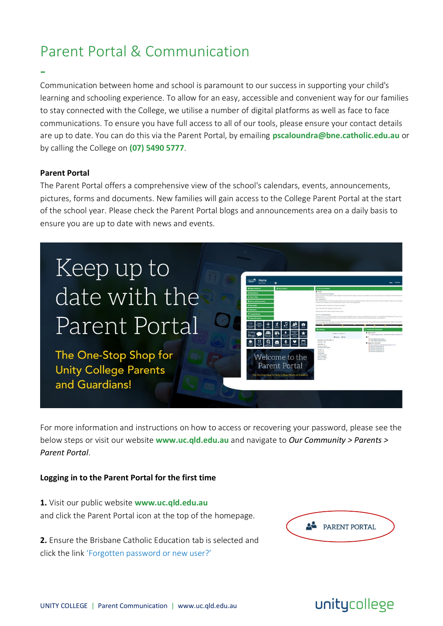# Parent Portal & Communication

Communication between home and school is paramount to our success in supporting your child's learning and schooling experience. To allow for an easy, accessible and convenient way for our families to stay connected with the College, we utilise a number of digital platforms as well as face to face communications. To ensure you have full access to all of our tools, please ensure your contact details are up to date. You can do this via the Parent Portal, by emailing **pscaloundra@bne.catholic.edu.au** or by calling the College on **(07) 5490 5777**.

#### **Parent Portal**

-

The Parent Portal offers a comprehensive view of the school's calendars, events, announcements, pictures, forms and documents. New families will gain access to the College Parent Portal at the start of the school year. Please check the Parent Portal blogs and announcements area on a daily basis to ensure you are up to date with news and events.



The One-Stop Shop for **Unity College Parents** and Guardians!



For more information and instructions on how to access or recovering your password, please see the below steps or visit our website **www.uc.qld.edu.au** and navigate to *Our Community > Parents > Parent Portal*.

#### **Logging in to the Parent Portal for the first time**

**1.** Visit our public website **www.uc.qld.edu.au** and click the Parent Portal icon at the top of the homepage.

**2.** Ensure the Brisbane Catholic Education tab is selected and click the link 'Forgotten password or new user?'



# unitycollege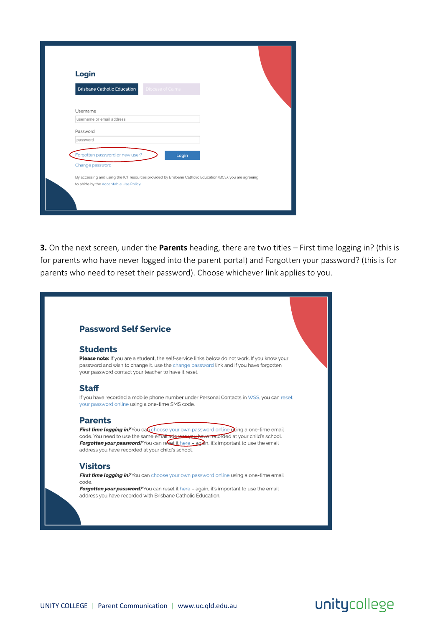|                      | Login                                 |                   |                                                                                                          |  |
|----------------------|---------------------------------------|-------------------|----------------------------------------------------------------------------------------------------------|--|
|                      | <b>Brisbane Catholic Education</b>    | Diocese of Cairns |                                                                                                          |  |
| Username             | username or email address             |                   |                                                                                                          |  |
| Password<br>password |                                       |                   |                                                                                                          |  |
|                      | Forgotten password or new user?       | Login             |                                                                                                          |  |
|                      | Change password                       |                   | By accessing and using the ICT resources provided by Brisbane Catholic Education (BCE), you are agreeing |  |
|                      | to abide by the Acceptable Use Policy |                   |                                                                                                          |  |

**3.** On the next screen, under the **Parents** heading, there are two titles – First time logging in? (this is for parents who have never logged into the parent portal) and Forgotten your password? (this is for parents who need to reset their password). Choose whichever link applies to you.

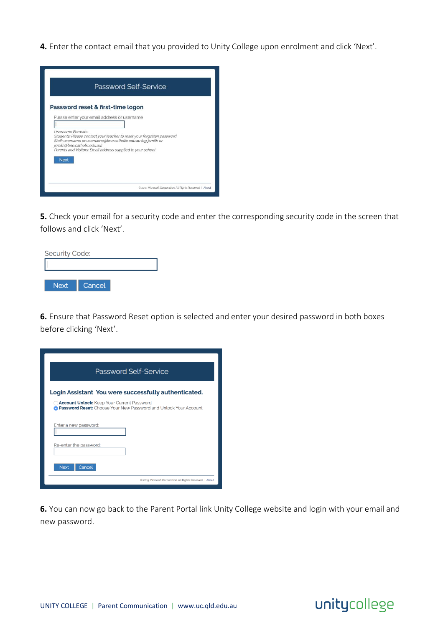**4.** Enter the contact email that you provided to Unity College upon enrolment and click 'Next'.



**5.** Check your email for a security code and enter the corresponding security code in the screen that follows and click 'Next'.



**6.** Ensure that Password Reset option is selected and enter your desired password in both boxes before clicking 'Next'.

| <b>Password Self-Service</b>                                                                                                                                                           |  |  |  |  |
|----------------------------------------------------------------------------------------------------------------------------------------------------------------------------------------|--|--|--|--|
| Login Assistant You were successfully authenticated.<br><b>Account Unlock:</b> Keep Your Current Password<br><b>O Password Reset:</b> Choose Your New Password and Unlock Your Account |  |  |  |  |
| Enter a new password:                                                                                                                                                                  |  |  |  |  |
| Re-enter the password:<br>Cancel<br><b>Next</b>                                                                                                                                        |  |  |  |  |
| 2015 Microsoft Corporation. All Rights Reserved.   About                                                                                                                               |  |  |  |  |

**6.** You can now go back to the Parent Portal link Unity College website and login with your email and new password.

### unitycollege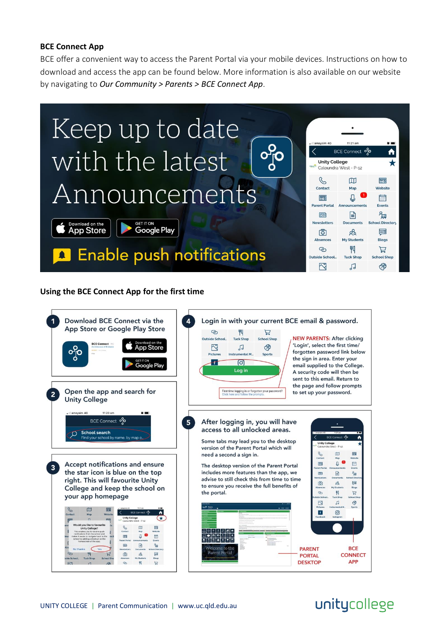### **BCE Connect App**

BCE offer a convenient way to access the Parent Portal via your mobile devices. Instructions on how to download and access the app can be found below. More information is also available on our website by navigating to *Our Community > Parents > BCE Connect App*.



### **Using the BCE Connect App for the first time**



## unitycollege